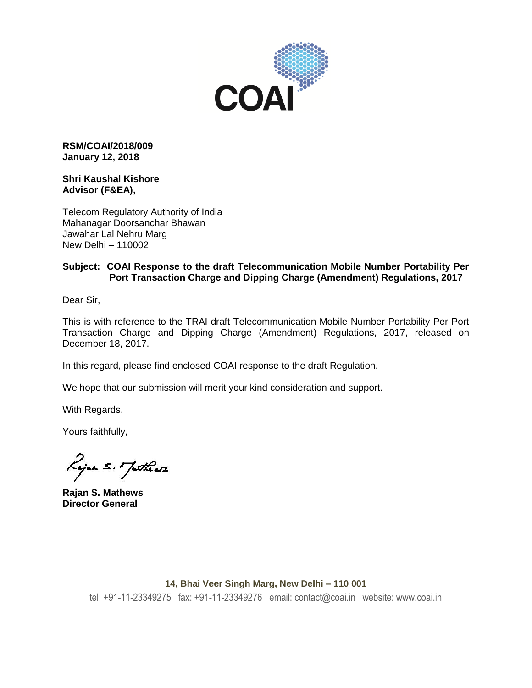

**RSM/COAI/2018/009 January 12, 2018**

#### **Shri Kaushal Kishore Advisor (F&EA),**

Telecom Regulatory Authority of India Mahanagar Doorsanchar Bhawan Jawahar Lal Nehru Marg New Delhi – 110002

## **Subject: COAI Response to the draft Telecommunication Mobile Number Portability Per Port Transaction Charge and Dipping Charge (Amendment) Regulations, 2017**

Dear Sir,

This is with reference to the TRAI draft Telecommunication Mobile Number Portability Per Port Transaction Charge and Dipping Charge (Amendment) Regulations, 2017, released on December 18, 2017.

In this regard, please find enclosed COAI response to the draft Regulation.

We hope that our submission will merit your kind consideration and support.

With Regards,

Yours faithfully,

Rojan s. Jatheas

**Rajan S. Mathews Director General**

#### **14, Bhai Veer Singh Marg, New Delhi – 110 001**

tel: +91-11-23349275 fax: +91-11-23349276 email: contact@coai.in website: www.coai.in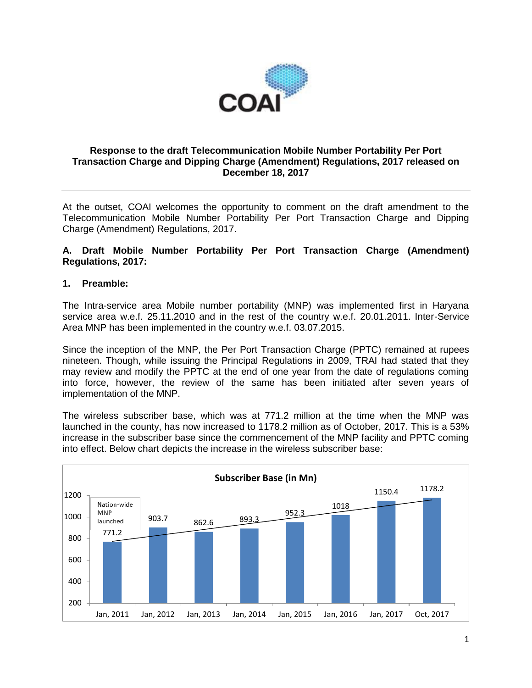

### **Response to the draft Telecommunication Mobile Number Portability Per Port Transaction Charge and Dipping Charge (Amendment) Regulations, 2017 released on December 18, 2017**

At the outset, COAI welcomes the opportunity to comment on the draft amendment to the Telecommunication Mobile Number Portability Per Port Transaction Charge and Dipping Charge (Amendment) Regulations, 2017.

### **A. Draft Mobile Number Portability Per Port Transaction Charge (Amendment) Regulations, 2017:**

### **1. Preamble:**

The Intra-service area Mobile number portability (MNP) was implemented first in Haryana service area w.e.f. 25.11.2010 and in the rest of the country w.e.f. 20.01.2011. Inter-Service Area MNP has been implemented in the country w.e.f. 03.07.2015.

Since the inception of the MNP, the Per Port Transaction Charge (PPTC) remained at rupees nineteen. Though, while issuing the Principal Regulations in 2009, TRAI had stated that they may review and modify the PPTC at the end of one year from the date of regulations coming into force, however, the review of the same has been initiated after seven years of implementation of the MNP.

The wireless subscriber base, which was at 771.2 million at the time when the MNP was launched in the county, has now increased to 1178.2 million as of October, 2017. This is a 53% increase in the subscriber base since the commencement of the MNP facility and PPTC coming into effect. Below chart depicts the increase in the wireless subscriber base:

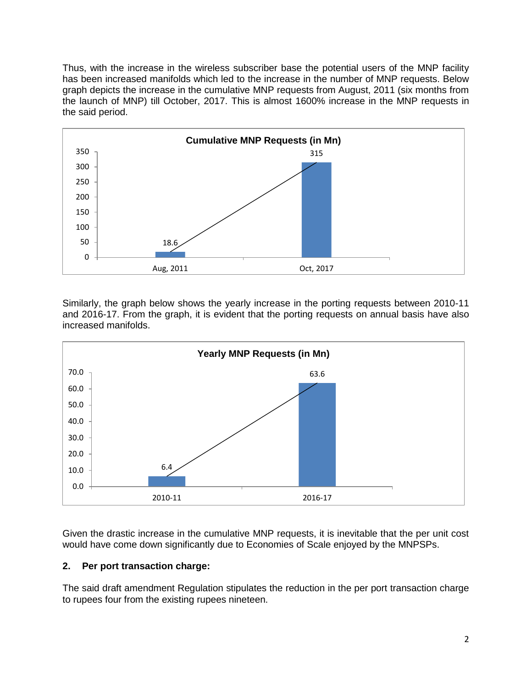Thus, with the increase in the wireless subscriber base the potential users of the MNP facility has been increased manifolds which led to the increase in the number of MNP requests. Below graph depicts the increase in the cumulative MNP requests from August, 2011 (six months from the launch of MNP) till October, 2017. This is almost 1600% increase in the MNP requests in the said period.



Similarly, the graph below shows the yearly increase in the porting requests between 2010-11 and 2016-17. From the graph, it is evident that the porting requests on annual basis have also increased manifolds.



Given the drastic increase in the cumulative MNP requests, it is inevitable that the per unit cost would have come down significantly due to Economies of Scale enjoyed by the MNPSPs.

### **2. Per port transaction charge:**

The said draft amendment Regulation stipulates the reduction in the per port transaction charge to rupees four from the existing rupees nineteen.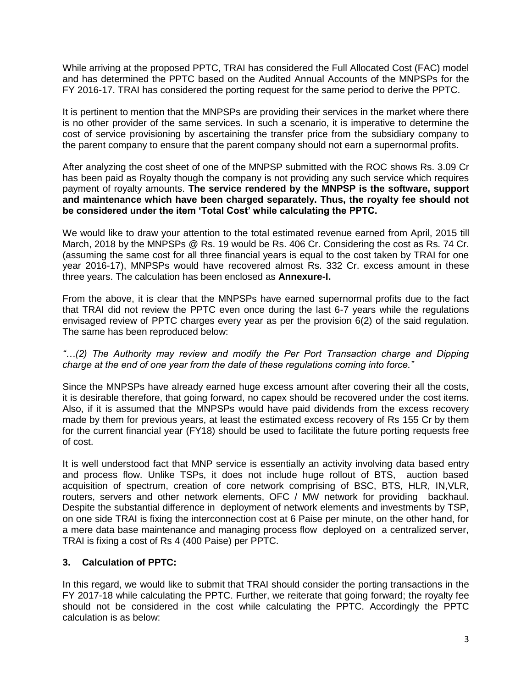While arriving at the proposed PPTC, TRAI has considered the Full Allocated Cost (FAC) model and has determined the PPTC based on the Audited Annual Accounts of the MNPSPs for the FY 2016-17. TRAI has considered the porting request for the same period to derive the PPTC.

It is pertinent to mention that the MNPSPs are providing their services in the market where there is no other provider of the same services. In such a scenario, it is imperative to determine the cost of service provisioning by ascertaining the transfer price from the subsidiary company to the parent company to ensure that the parent company should not earn a supernormal profits.

After analyzing the cost sheet of one of the MNPSP submitted with the ROC shows Rs. 3.09 Cr has been paid as Royalty though the company is not providing any such service which requires payment of royalty amounts. **The service rendered by the MNPSP is the software, support and maintenance which have been charged separately. Thus, the royalty fee should not be considered under the item 'Total Cost' while calculating the PPTC.**

We would like to draw your attention to the total estimated revenue earned from April, 2015 till March, 2018 by the MNPSPs @ Rs. 19 would be Rs. 406 Cr. Considering the cost as Rs. 74 Cr. (assuming the same cost for all three financial years is equal to the cost taken by TRAI for one year 2016-17), MNPSPs would have recovered almost Rs. 332 Cr. excess amount in these three years. The calculation has been enclosed as **Annexure-I.**

From the above, it is clear that the MNPSPs have earned supernormal profits due to the fact that TRAI did not review the PPTC even once during the last 6-7 years while the regulations envisaged review of PPTC charges every year as per the provision 6(2) of the said regulation. The same has been reproduced below:

*"…(2) The Authority may review and modify the Per Port Transaction charge and Dipping charge at the end of one year from the date of these regulations coming into force."*

Since the MNPSPs have already earned huge excess amount after covering their all the costs, it is desirable therefore, that going forward, no capex should be recovered under the cost items. Also, if it is assumed that the MNPSPs would have paid dividends from the excess recovery made by them for previous years, at least the estimated excess recovery of Rs 155 Cr by them for the current financial year (FY18) should be used to facilitate the future porting requests free of cost.

It is well understood fact that MNP service is essentially an activity involving data based entry and process flow. Unlike TSPs, it does not include huge rollout of BTS, auction based acquisition of spectrum, creation of core network comprising of BSC, BTS, HLR, IN,VLR, routers, servers and other network elements, OFC / MW network for providing backhaul. Despite the substantial difference in deployment of network elements and investments by TSP, on one side TRAI is fixing the interconnection cost at 6 Paise per minute, on the other hand, for a mere data base maintenance and managing process flow deployed on a centralized server, TRAI is fixing a cost of Rs 4 (400 Paise) per PPTC.

### **3. Calculation of PPTC:**

In this regard, we would like to submit that TRAI should consider the porting transactions in the FY 2017-18 while calculating the PPTC. Further, we reiterate that going forward; the royalty fee should not be considered in the cost while calculating the PPTC. Accordingly the PPTC calculation is as below: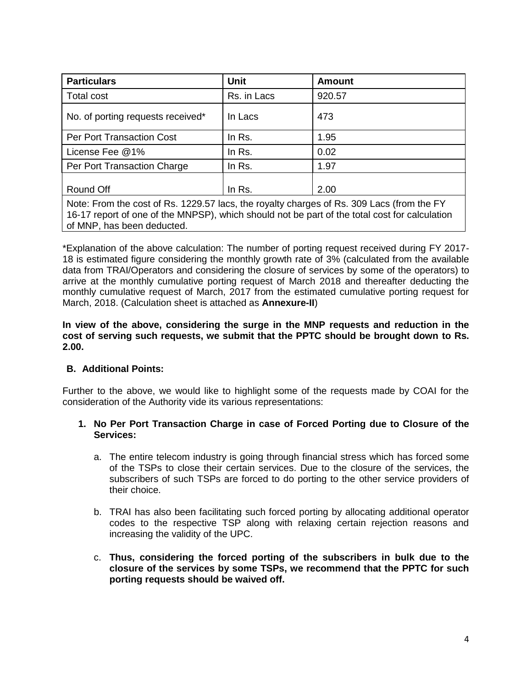| <b>Particulars</b>                                                                        | <b>Unit</b> | Amount |  |  |
|-------------------------------------------------------------------------------------------|-------------|--------|--|--|
| Total cost                                                                                | Rs. in Lacs | 920.57 |  |  |
| No. of porting requests received*                                                         | In Lacs     | 473    |  |  |
| <b>Per Port Transaction Cost</b>                                                          | In Rs.      | 1.95   |  |  |
| License Fee @1%                                                                           | In Rs.      | 0.02   |  |  |
| Per Port Transaction Charge                                                               | In Rs.      | 1.97   |  |  |
| Round Off                                                                                 | In Rs.      | 2.00   |  |  |
| Note: From the cost of Rs. 1229.57 lacs, the rovalty charges of Rs. 309 Lacs (from the FY |             |        |  |  |

Note: From the cost of Rs. 1229.57 lacs, the royalty charges of Rs. 309 Lacs (from the FY 16-17 report of one of the MNPSP), which should not be part of the total cost for calculation of MNP, has been deducted.

\*Explanation of the above calculation: The number of porting request received during FY 2017- 18 is estimated figure considering the monthly growth rate of 3% (calculated from the available data from TRAI/Operators and considering the closure of services by some of the operators) to arrive at the monthly cumulative porting request of March 2018 and thereafter deducting the monthly cumulative request of March, 2017 from the estimated cumulative porting request for March, 2018. (Calculation sheet is attached as **Annexure-II**)

**In view of the above, considering the surge in the MNP requests and reduction in the cost of serving such requests, we submit that the PPTC should be brought down to Rs. 2.00.**

### **B. Additional Points:**

Further to the above, we would like to highlight some of the requests made by COAI for the consideration of the Authority vide its various representations:

### **1. No Per Port Transaction Charge in case of Forced Porting due to Closure of the Services:**

- a. The entire telecom industry is going through financial stress which has forced some of the TSPs to close their certain services. Due to the closure of the services, the subscribers of such TSPs are forced to do porting to the other service providers of their choice.
- b. TRAI has also been facilitating such forced porting by allocating additional operator codes to the respective TSP along with relaxing certain rejection reasons and increasing the validity of the UPC.
- c. **Thus, considering the forced porting of the subscribers in bulk due to the closure of the services by some TSPs, we recommend that the PPTC for such porting requests should be waived off.**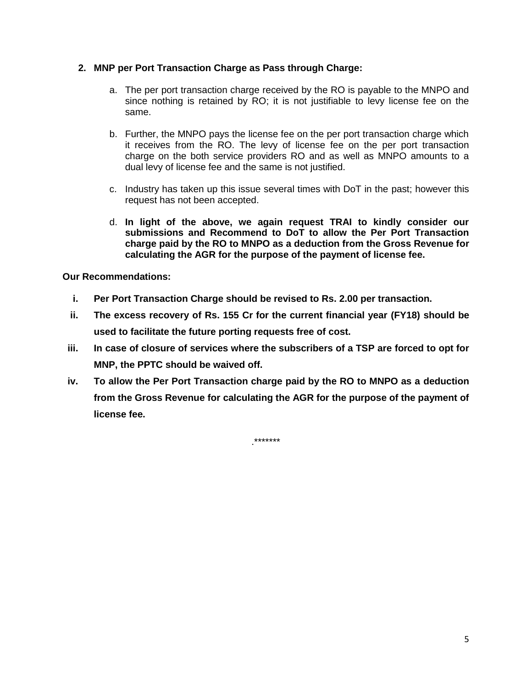# **2. MNP per Port Transaction Charge as Pass through Charge:**

- a. The per port transaction charge received by the RO is payable to the MNPO and since nothing is retained by RO; it is not justifiable to levy license fee on the same.
- b. Further, the MNPO pays the license fee on the per port transaction charge which it receives from the RO. The levy of license fee on the per port transaction charge on the both service providers RO and as well as MNPO amounts to a dual levy of license fee and the same is not justified.
- c. Industry has taken up this issue several times with DoT in the past; however this request has not been accepted.
- d. **In light of the above, we again request TRAI to kindly consider our submissions and Recommend to DoT to allow the Per Port Transaction charge paid by the RO to MNPO as a deduction from the Gross Revenue for calculating the AGR for the purpose of the payment of license fee.**

**Our Recommendations:**

- **i. Per Port Transaction Charge should be revised to Rs. 2.00 per transaction.**
- **ii. The excess recovery of Rs. 155 Cr for the current financial year (FY18) should be used to facilitate the future porting requests free of cost.**
- **iii. In case of closure of services where the subscribers of a TSP are forced to opt for MNP, the PPTC should be waived off.**
- **iv. To allow the Per Port Transaction charge paid by the RO to MNPO as a deduction from the Gross Revenue for calculating the AGR for the purpose of the payment of license fee.**

.\*\*\*\*\*\*\*